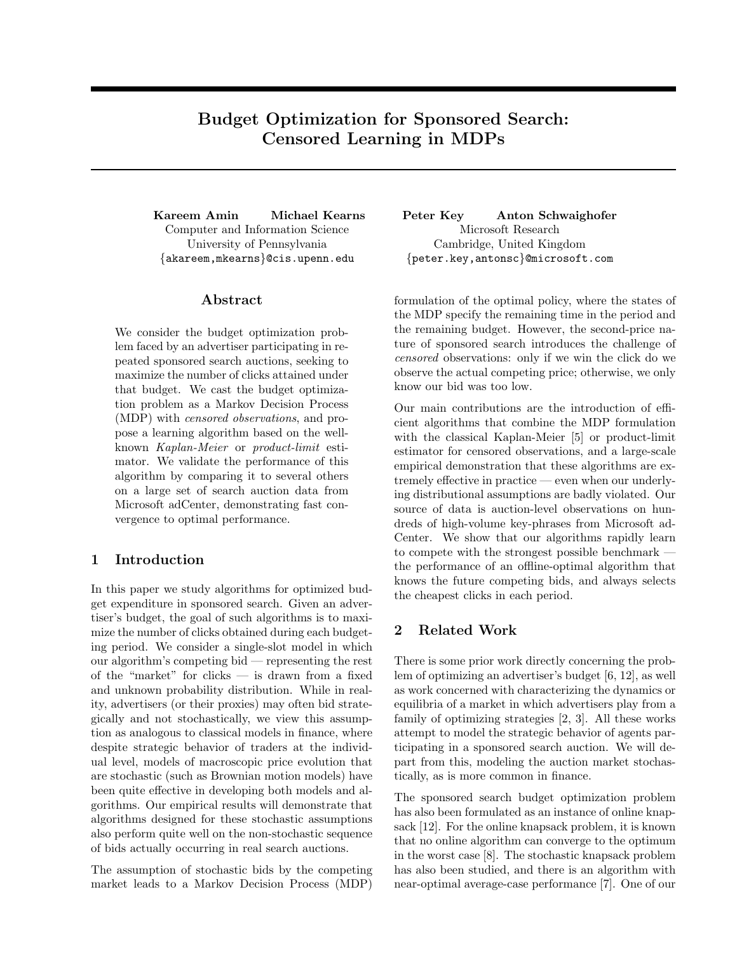# Budget Optimization for Sponsored Search: Censored Learning in MDPs

Kareem Amin Michael Kearns Computer and Information Science University of Pennsylvania {akareem,mkearns}@cis.upenn.edu

# Abstract

We consider the budget optimization problem faced by an advertiser participating in repeated sponsored search auctions, seeking to maximize the number of clicks attained under that budget. We cast the budget optimization problem as a Markov Decision Process (MDP) with censored observations, and propose a learning algorithm based on the wellknown Kaplan-Meier or product-limit estimator. We validate the performance of this algorithm by comparing it to several others on a large set of search auction data from Microsoft adCenter, demonstrating fast convergence to optimal performance.

# 1 Introduction

In this paper we study algorithms for optimized budget expenditure in sponsored search. Given an advertiser's budget, the goal of such algorithms is to maximize the number of clicks obtained during each budgeting period. We consider a single-slot model in which our algorithm's competing bid — representing the rest of the "market" for clicks — is drawn from a fixed and unknown probability distribution. While in reality, advertisers (or their proxies) may often bid strategically and not stochastically, we view this assumption as analogous to classical models in finance, where despite strategic behavior of traders at the individual level, models of macroscopic price evolution that are stochastic (such as Brownian motion models) have been quite effective in developing both models and algorithms. Our empirical results will demonstrate that algorithms designed for these stochastic assumptions also perform quite well on the non-stochastic sequence of bids actually occurring in real search auctions.

The assumption of stochastic bids by the competing market leads to a Markov Decision Process (MDP)

Peter Key Anton Schwaighofer Microsoft Research Cambridge, United Kingdom {peter.key,antonsc}@microsoft.com

formulation of the optimal policy, where the states of the MDP specify the remaining time in the period and the remaining budget. However, the second-price nature of sponsored search introduces the challenge of censored observations: only if we win the click do we observe the actual competing price; otherwise, we only know our bid was too low.

Our main contributions are the introduction of efficient algorithms that combine the MDP formulation with the classical Kaplan-Meier [5] or product-limit estimator for censored observations, and a large-scale empirical demonstration that these algorithms are extremely effective in practice — even when our underlying distributional assumptions are badly violated. Our source of data is auction-level observations on hundreds of high-volume key-phrases from Microsoft ad-Center. We show that our algorithms rapidly learn to compete with the strongest possible benchmark the performance of an offline-optimal algorithm that knows the future competing bids, and always selects the cheapest clicks in each period.

# 2 Related Work

There is some prior work directly concerning the problem of optimizing an advertiser's budget [6, 12], as well as work concerned with characterizing the dynamics or equilibria of a market in which advertisers play from a family of optimizing strategies [2, 3]. All these works attempt to model the strategic behavior of agents participating in a sponsored search auction. We will depart from this, modeling the auction market stochastically, as is more common in finance.

The sponsored search budget optimization problem has also been formulated as an instance of online knapsack [12]. For the online knapsack problem, it is known that no online algorithm can converge to the optimum in the worst case [8]. The stochastic knapsack problem has also been studied, and there is an algorithm with near-optimal average-case performance [7]. One of our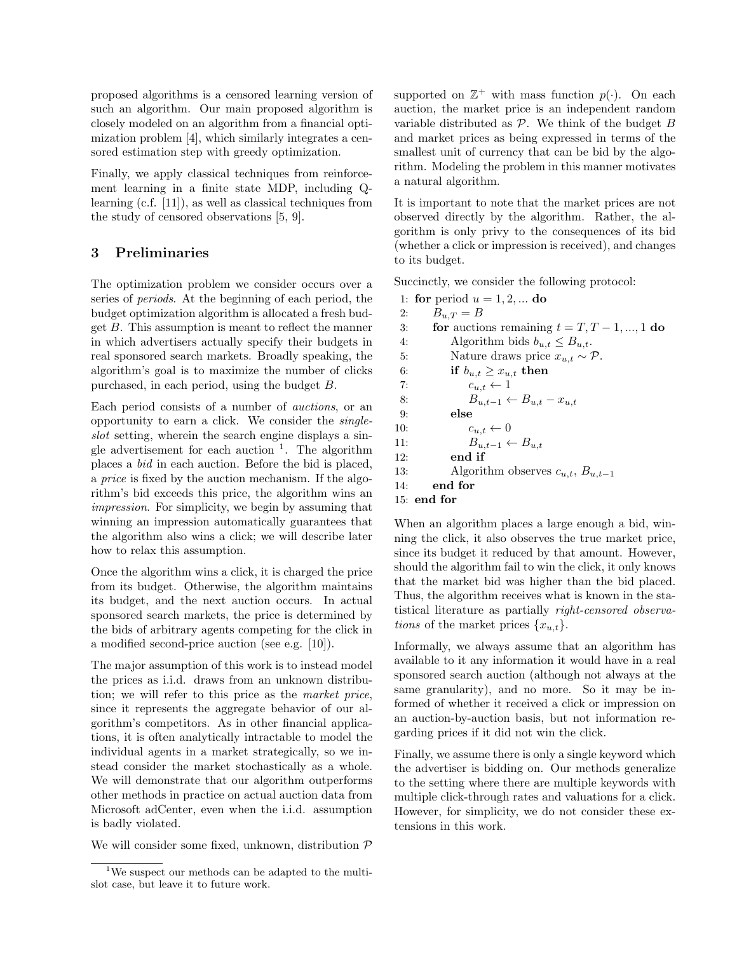proposed algorithms is a censored learning version of such an algorithm. Our main proposed algorithm is closely modeled on an algorithm from a financial optimization problem [4], which similarly integrates a censored estimation step with greedy optimization.

Finally, we apply classical techniques from reinforcement learning in a finite state MDP, including Qlearning (c.f. [11]), as well as classical techniques from the study of censored observations [5, 9].

# 3 Preliminaries

The optimization problem we consider occurs over a series of periods. At the beginning of each period, the budget optimization algorithm is allocated a fresh budget B. This assumption is meant to reflect the manner in which advertisers actually specify their budgets in real sponsored search markets. Broadly speaking, the algorithm's goal is to maximize the number of clicks purchased, in each period, using the budget B.

Each period consists of a number of auctions, or an opportunity to earn a click. We consider the singleslot setting, wherein the search engine displays a single advertisement for each auction  $\frac{1}{1}$ . The algorithm places a bid in each auction. Before the bid is placed, a price is fixed by the auction mechanism. If the algorithm's bid exceeds this price, the algorithm wins an impression. For simplicity, we begin by assuming that winning an impression automatically guarantees that the algorithm also wins a click; we will describe later how to relax this assumption.

Once the algorithm wins a click, it is charged the price from its budget. Otherwise, the algorithm maintains its budget, and the next auction occurs. In actual sponsored search markets, the price is determined by the bids of arbitrary agents competing for the click in a modified second-price auction (see e.g. [10]).

The major assumption of this work is to instead model the prices as i.i.d. draws from an unknown distribution; we will refer to this price as the market price, since it represents the aggregate behavior of our algorithm's competitors. As in other financial applications, it is often analytically intractable to model the individual agents in a market strategically, so we instead consider the market stochastically as a whole. We will demonstrate that our algorithm outperforms other methods in practice on actual auction data from Microsoft adCenter, even when the i.i.d. assumption is badly violated.

We will consider some fixed, unknown, distribution  $P$ 

supported on  $\mathbb{Z}^+$  with mass function  $p(\cdot)$ . On each auction, the market price is an independent random variable distributed as  $P$ . We think of the budget  $B$ and market prices as being expressed in terms of the smallest unit of currency that can be bid by the algorithm. Modeling the problem in this manner motivates a natural algorithm.

It is important to note that the market prices are not observed directly by the algorithm. Rather, the algorithm is only privy to the consequences of its bid (whether a click or impression is received), and changes to its budget.

Succinctly, we consider the following protocol:

|     | 1: for period $u = 1, 2, $ do                   |
|-----|-------------------------------------------------|
| 2:  | $B_{u,T} = B$                                   |
| 3:  | for auctions remaining $t = T, T - 1, , 1$ do   |
| 4:  | Algorithm bids $b_{u,t} \leq B_{u,t}$ .         |
| 5:  | Nature draws price $x_{u,t} \sim \mathcal{P}$ . |
| 6:  | if $b_{u,t} \geq x_{u,t}$ then                  |
| 7:  | $c_{u,t} \leftarrow 1$                          |
| 8:  | $B_{u,t-1} \leftarrow B_{u,t} - x_{u,t}$        |
| 9:  | else                                            |
| 10: | $c_{u,t} \leftarrow 0$                          |
| 11: | $B_{u,t-1} \leftarrow B_{u,t}$                  |
| 12: | end if                                          |
| 13: | Algorithm observes $c_{u,t}$ , $B_{u,t-1}$      |
| 14: | end for                                         |
|     | $15:$ end for                                   |

When an algorithm places a large enough a bid, winning the click, it also observes the true market price, since its budget it reduced by that amount. However, should the algorithm fail to win the click, it only knows that the market bid was higher than the bid placed. Thus, the algorithm receives what is known in the statistical literature as partially right-censored observations of the market prices  $\{x_{u,t}\}.$ 

Informally, we always assume that an algorithm has available to it any information it would have in a real sponsored search auction (although not always at the same granularity), and no more. So it may be informed of whether it received a click or impression on an auction-by-auction basis, but not information regarding prices if it did not win the click.

Finally, we assume there is only a single keyword which the advertiser is bidding on. Our methods generalize to the setting where there are multiple keywords with multiple click-through rates and valuations for a click. However, for simplicity, we do not consider these extensions in this work.

<sup>&</sup>lt;sup>1</sup>We suspect our methods can be adapted to the multislot case, but leave it to future work.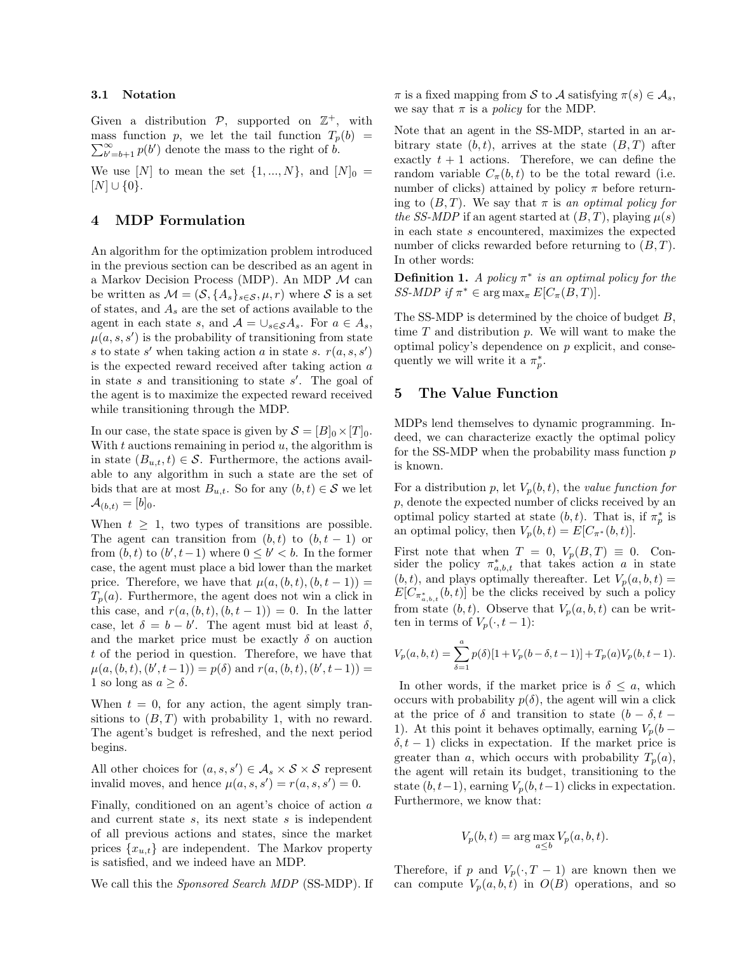#### 3.1 Notation

Given a distribution  $P$ , supported on  $\mathbb{Z}^+$ , with mass function p, we let the tail function  $T_p(b)$  =  $\sum_{b'}^{\infty}$  $\sum_{b'=b+1}^{\infty} p(b')$  denote the mass to the right of  $b$ .

We use [N] to mean the set  $\{1, ..., N\}$ , and  $[N]_0 =$  $[N] \cup \{0\}.$ 

# 4 MDP Formulation

An algorithm for the optimization problem introduced in the previous section can be described as an agent in a Markov Decision Process (MDP). An MDP M can be written as  $\mathcal{M} = (\mathcal{S}, \{A_s\}_{s \in \mathcal{S}}, \mu, r)$  where  $\mathcal{S}$  is a set of states, and  $A_s$  are the set of actions available to the agent in each state s, and  $A = \bigcup_{s \in \mathcal{S}} A_s$ . For  $a \in A_s$ ,  $\mu(a, s, s')$  is the probability of transitioning from state s to state s' when taking action a in state s.  $r(a, s, s')$ is the expected reward received after taking action a in state  $s$  and transitioning to state  $s'$ . The goal of the agent is to maximize the expected reward received while transitioning through the MDP.

In our case, the state space is given by  $S = [B]_0 \times [T]_0$ . With  $t$  auctions remaining in period  $u$ , the algorithm is in state  $(B_{u,t}, t) \in \mathcal{S}$ . Furthermore, the actions available to any algorithm in such a state are the set of bids that are at most  $B_{u,t}$ . So for any  $(b, t) \in S$  we let  $\mathcal{A}_{(b,t)} = [b]_0.$ 

When  $t > 1$ , two types of transitions are possible. The agent can transition from  $(b, t)$  to  $(b, t - 1)$  or from  $(b, t)$  to  $(b', t-1)$  where  $0 \leq b' < b$ . In the former case, the agent must place a bid lower than the market price. Therefore, we have that  $\mu(a, (b, t), (b, t - 1)) =$  $T_p(a)$ . Furthermore, the agent does not win a click in this case, and  $r(a, (b, t), (b, t - 1)) = 0$ . In the latter case, let  $\delta = b - b'$ . The agent must bid at least  $\delta$ , and the market price must be exactly  $\delta$  on auction t of the period in question. Therefore, we have that  $\mu(a,(b,t),(b',t-1)) = p(\delta)$  and  $r(a,(b,t),(b',t-1)) =$ 1 so long as  $a > \delta$ .

When  $t = 0$ , for any action, the agent simply transitions to  $(B, T)$  with probability 1, with no reward. The agent's budget is refreshed, and the next period begins.

All other choices for  $(a, s, s') \in \mathcal{A}_s \times \mathcal{S} \times \mathcal{S}$  represent invalid moves, and hence  $\mu(a, s, s') = r(a, s, s') = 0$ .

Finally, conditioned on an agent's choice of action a and current state s, its next state s is independent of all previous actions and states, since the market prices  ${x_{u,t}}$  are independent. The Markov property is satisfied, and we indeed have an MDP.

We call this the Sponsored Search MDP (SS-MDP). If

 $\pi$  is a fixed mapping from S to A satisfying  $\pi(s) \in \mathcal{A}_s$ , we say that  $\pi$  is a *policy* for the MDP.

Note that an agent in the SS-MDP, started in an arbitrary state  $(b, t)$ , arrives at the state  $(B, T)$  after exactly  $t + 1$  actions. Therefore, we can define the random variable  $C_{\pi}(b, t)$  to be the total reward (i.e. number of clicks) attained by policy  $\pi$  before returning to  $(B, T)$ . We say that  $\pi$  is an optimal policy for the SS-MDP if an agent started at  $(B, T)$ , playing  $\mu(s)$ in each state s encountered, maximizes the expected number of clicks rewarded before returning to  $(B, T)$ . In other words:

**Definition 1.** A policy  $\pi^*$  is an optimal policy for the SS-MDP if  $\pi^* \in \arg \max_{\pi} E[C_{\pi}(B,T)].$ 

The SS-MDP is determined by the choice of budget  $B$ , time  $T$  and distribution  $p$ . We will want to make the optimal policy's dependence on p explicit, and consequently we will write it a  $\pi_p^*$ .

# 5 The Value Function

MDPs lend themselves to dynamic programming. Indeed, we can characterize exactly the optimal policy for the SS-MDP when the probability mass function  $p$ is known.

For a distribution p, let  $V_p(b, t)$ , the value function for p, denote the expected number of clicks received by an optimal policy started at state  $(b, t)$ . That is, if  $\pi_p^*$  is an optimal policy, then  $V_p(b, t) = E[C_{\pi^*}(b, t)].$ 

First note that when  $T = 0$ ,  $V_p(B, T) \equiv 0$ . Consider the policy  $\pi_{a,b,t}^*$  that takes action a in state  $(b, t)$ , and plays optimally thereafter. Let  $V_p(a, b, t) =$  $E[C_{\pi_{a,b,t}^*(b,t)]$  be the clicks received by such a policy from state  $(b, t)$ . Observe that  $V_p(a, b, t)$  can be written in terms of  $V_p(\cdot, t-1)$ :

$$
V_p(a,b,t) = \sum_{\delta=1}^a p(\delta)[1 + V_p(b-\delta, t-1)] + T_p(a)V_p(b, t-1).
$$

In other words, if the market price is  $\delta \leq a$ , which occurs with probability  $p(\delta)$ , the agent will win a click at the price of  $\delta$  and transition to state  $(b - \delta, t -$ 1). At this point it behaves optimally, earning  $V_p(b (\delta, t - 1)$  clicks in expectation. If the market price is greater than a, which occurs with probability  $T_p(a)$ , the agent will retain its budget, transitioning to the state  $(b, t-1)$ , earning  $V_p(b, t-1)$  clicks in expectation. Furthermore, we know that:

$$
V_p(b, t) = \arg\max_{a \leq b} V_p(a, b, t).
$$

Therefore, if p and  $V_p(\cdot, T-1)$  are known then we can compute  $V_p(a, b, t)$  in  $O(B)$  operations, and so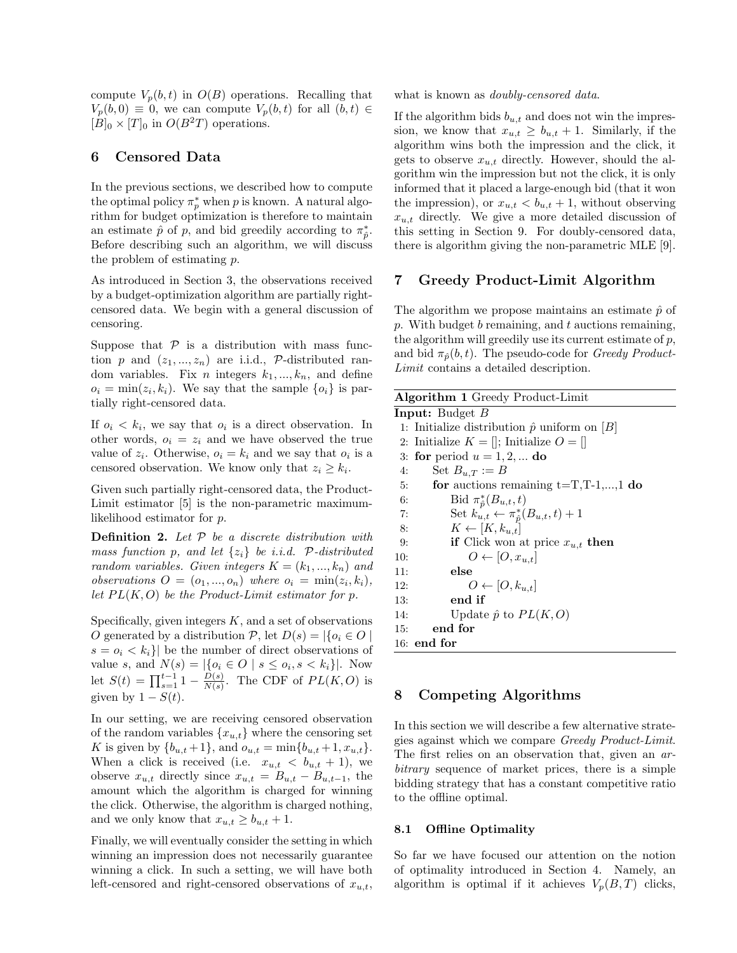compute  $V_p(b, t)$  in  $O(B)$  operations. Recalling that  $V_p(b, 0) \equiv 0$ , we can compute  $V_p(b, t)$  for all  $(b, t) \in$  $[B]_0 \times [T]_0$  in  $O(B^2T)$  operations.

# 6 Censored Data

In the previous sections, we described how to compute the optimal policy  $\pi_p^*$  when p is known. A natural algorithm for budget optimization is therefore to maintain an estimate  $\hat{p}$  of p, and bid greedily according to  $\pi_{\hat{p}}^*$ . Before describing such an algorithm, we will discuss the problem of estimating p.

As introduced in Section 3, the observations received by a budget-optimization algorithm are partially rightcensored data. We begin with a general discussion of censoring.

Suppose that  $P$  is a distribution with mass function p and  $(z_1, ..., z_n)$  are i.i.d., P-distributed random variables. Fix *n* integers  $k_1, ..., k_n$ , and define  $o_i = \min(z_i, k_i)$ . We say that the sample  $\{o_i\}$  is partially right-censored data.

If  $o_i < k_i$ , we say that  $o_i$  is a direct observation. In other words,  $o_i = z_i$  and we have observed the true value of  $z_i$ . Otherwise,  $o_i = k_i$  and we say that  $o_i$  is a censored observation. We know only that  $z_i \geq k_i$ .

Given such partially right-censored data, the Product-Limit estimator [5] is the non-parametric maximumlikelihood estimator for p.

**Definition 2.** Let  $P$  be a discrete distribution with mass function p, and let  $\{z_i\}$  be i.i.d. P-distributed random variables. Given integers  $K = (k_1, ..., k_n)$  and observations  $O = (o_1, ..., o_n)$  where  $o_i = \min(z_i, k_i)$ , let  $PL(K, O)$  be the Product-Limit estimator for p.

Specifically, given integers  $K$ , and a set of observations O generated by a distribution P, let  $D(s) = |\{o_i \in O\}|$  $s = o_i < k_i$ } be the number of direct observations of value s, and  $N(s) = |\{o_i \in O \mid s \le o_i, s < k_i\}|$ . Now let  $S(t) = \prod_{s=1}^{t-1} 1 - \frac{D(s)}{N(s)}$  $\frac{D(s)}{N(s)}$ . The CDF of  $PL(K, O)$  is given by  $1 - S(t)$ .

In our setting, we are receiving censored observation of the random variables  ${x_{u,t}}$  where the censoring set K is given by  $\{b_{u,t}+1\}$ , and  $o_{u,t} = \min\{b_{u,t}+1, x_{u,t}\}.$ When a click is received (i.e.  $x_{u,t} < b_{u,t} + 1$ ), we observe  $x_{u,t}$  directly since  $x_{u,t} = B_{u,t} - B_{u,t-1}$ , the amount which the algorithm is charged for winning the click. Otherwise, the algorithm is charged nothing, and we only know that  $x_{u,t} \geq b_{u,t} + 1$ .

Finally, we will eventually consider the setting in which winning an impression does not necessarily guarantee winning a click. In such a setting, we will have both left-censored and right-censored observations of  $x_{u,t}$ ,

what is known as *doubly-censored data*.

If the algorithm bids  $b_{u,t}$  and does not win the impression, we know that  $x_{u,t} \geq b_{u,t} + 1$ . Similarly, if the algorithm wins both the impression and the click, it gets to observe  $x_{u,t}$  directly. However, should the algorithm win the impression but not the click, it is only informed that it placed a large-enough bid (that it won the impression), or  $x_{u,t} < b_{u,t} + 1$ , without observing  $x_{u,t}$  directly. We give a more detailed discussion of this setting in Section 9. For doubly-censored data, there is algorithm giving the non-parametric MLE [9].

### 7 Greedy Product-Limit Algorithm

The algorithm we propose maintains an estimate  $\hat{p}$  of  $p.$  With budget  $b$  remaining, and  $t$  auctions remaining, the algorithm will greedily use its current estimate of  $p$ , and bid  $\pi_{\hat{p}}(b, t)$ . The pseudo-code for *Greedy Product*-Limit contains a detailed description.

| <b>Algorithm 1 Greedy Product-Limit</b>                                            |  |  |  |  |
|------------------------------------------------------------------------------------|--|--|--|--|
| <b>Input:</b> Budget $B$                                                           |  |  |  |  |
| 1: Initialize distribution $\hat{p}$ uniform on  B                                 |  |  |  |  |
| 2: Initialize $K = \left\  \cdot \right\ $ Initialize $O = \left\  \cdot \right\ $ |  |  |  |  |
| 3: for period $u=1,2,$ do                                                          |  |  |  |  |
| Set $B_{u,T} := B$<br>4:                                                           |  |  |  |  |
| for auctions remaining $t=T,T-1,,1$ do<br>5.                                       |  |  |  |  |
| Bid $\pi_{\hat{p}}^*(B_{u,t},t)$<br>6:                                             |  |  |  |  |
| Set $k_{u,t} \leftarrow \pi_{\hat{p}}^*(B_{u,t}, t) + 1$<br>7:                     |  |  |  |  |
| $K \leftarrow [K, k_{u,t}]$<br>8:                                                  |  |  |  |  |
| <b>if</b> Click won at price $x_{u,t}$ then<br>9:                                  |  |  |  |  |
| $O \leftarrow [O, x_{u.t}]$<br>10:                                                 |  |  |  |  |
| else<br>11:                                                                        |  |  |  |  |
| $O \leftarrow [O, k_{u,t}]$<br>12:                                                 |  |  |  |  |
| end if<br>13:                                                                      |  |  |  |  |
| Update $\hat{p}$ to $PL(K, O)$<br>14:                                              |  |  |  |  |
| end for<br>15:                                                                     |  |  |  |  |
| $16:$ end for                                                                      |  |  |  |  |

# 8 Competing Algorithms

In this section we will describe a few alternative strategies against which we compare Greedy Product-Limit. The first relies on an observation that, given an arbitrary sequence of market prices, there is a simple bidding strategy that has a constant competitive ratio to the offline optimal.

### 8.1 Offline Optimality

So far we have focused our attention on the notion of optimality introduced in Section 4. Namely, an algorithm is optimal if it achieves  $V_p(B,T)$  clicks,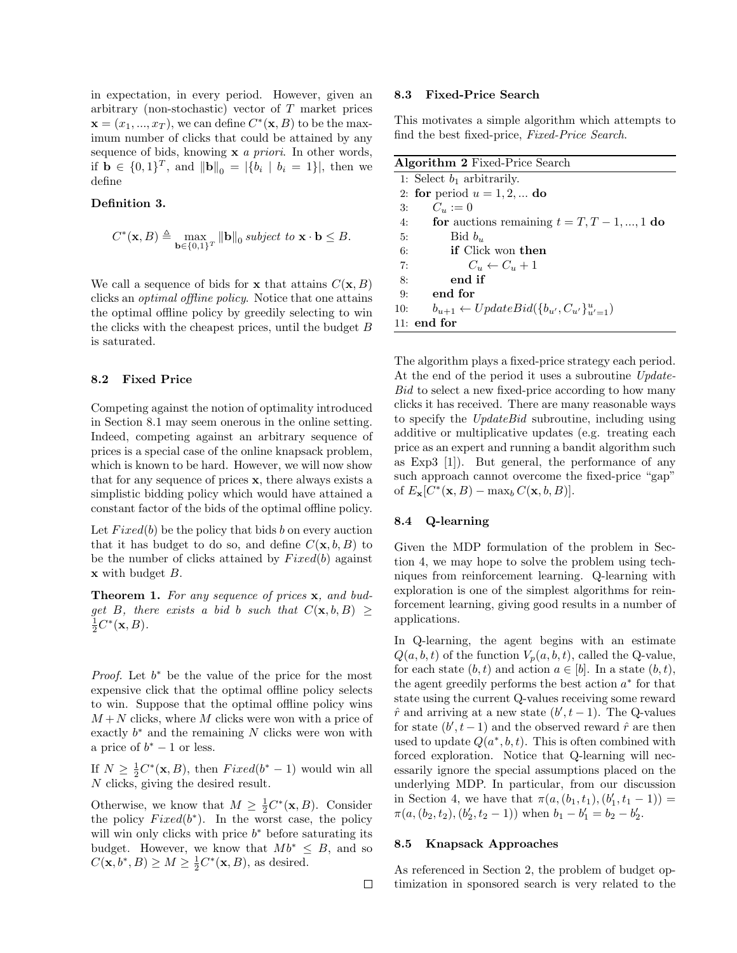in expectation, in every period. However, given an arbitrary (non-stochastic) vector of T market prices  $\mathbf{x} = (x_1, ..., x_T)$ , we can define  $C^*(\mathbf{x}, B)$  to be the maximum number of clicks that could be attained by any sequence of bids, knowing  $x$  *a priori*. In other words, if  $\mathbf{b} \in \{0,1\}^T$ , and  $\|\mathbf{b}\|_0 = |\{b_i \mid b_i = 1\}|$ , then we define

### Definition 3.

$$
C^*(\mathbf{x},B) \triangleq \max_{\mathbf{b}\in\{0,1\}^T} \|\mathbf{b}\|_0 \text{ subject to } \mathbf{x}\cdot\mathbf{b} \leq B.
$$

We call a sequence of bids for **x** that attains  $C(\mathbf{x}, B)$ clicks an optimal offline policy. Notice that one attains the optimal offline policy by greedily selecting to win the clicks with the cheapest prices, until the budget B is saturated.

#### 8.2 Fixed Price

Competing against the notion of optimality introduced in Section 8.1 may seem onerous in the online setting. Indeed, competing against an arbitrary sequence of prices is a special case of the online knapsack problem, which is known to be hard. However, we will now show that for any sequence of prices x, there always exists a simplistic bidding policy which would have attained a constant factor of the bids of the optimal offline policy.

Let  $Fixed(b)$  be the policy that bids b on every auction that it has budget to do so, and define  $C(\mathbf{x}, b, B)$  to be the number of clicks attained by  $Fixed(b)$  against  $x$  with budget  $B$ .

Theorem 1. For any sequence of prices x, and budget B, there exists a bid b such that  $C(\mathbf{x}, b, B)$  >  $\frac{1}{2}C^*(\mathbf{x},B).$ 

*Proof.* Let  $b^*$  be the value of the price for the most expensive click that the optimal offline policy selects to win. Suppose that the optimal offline policy wins  $M + N$  clicks, where M clicks were won with a price of exactly  $b^*$  and the remaining  $N$  clicks were won with a price of  $b^* - 1$  or less.

If  $N \geq \frac{1}{2}C^*(\mathbf{x}, B)$ , then  $Fixed(b^* - 1)$  would win all N clicks, giving the desired result.

Otherwise, we know that  $M \geq \frac{1}{2}C^*(\mathbf{x}, B)$ . Consider the policy  $Fixed(b^*)$ . In the worst case, the policy will win only clicks with price  $b^*$  before saturating its budget. However, we know that  $Mb^* \leq B$ , and so  $C(\mathbf{x}, b^*, B) \ge M \ge \frac{1}{2}C^*(\mathbf{x}, B)$ , as desired.

#### 8.3 Fixed-Price Search

This motivates a simple algorithm which attempts to find the best fixed-price, Fixed-Price Search.

| <b>Algorithm 2</b> Fixed-Price Search                              |  |  |  |
|--------------------------------------------------------------------|--|--|--|
| 1: Select $b_1$ arbitrarily.                                       |  |  |  |
| 2: for period $u = 1, 2, $ do                                      |  |  |  |
| $C_u := 0$<br>3:                                                   |  |  |  |
| for auctions remaining $t = T, T - 1, , 1$ do<br>4:                |  |  |  |
| $\text{Bid } b_u$<br>5:                                            |  |  |  |
| <b>if</b> Click won then<br>6:                                     |  |  |  |
| $C_u \leftarrow C_u + 1$<br>7:                                     |  |  |  |
| end if<br>8:                                                       |  |  |  |
| end for<br>$\Omega$ :                                              |  |  |  |
| $b_{u+1} \leftarrow UpdateBid(\{b_{u'}, C_{u'}\}_{u'=1}^u)$<br>10: |  |  |  |
| $11:$ end for                                                      |  |  |  |

The algorithm plays a fixed-price strategy each period. At the end of the period it uses a subroutine Update-Bid to select a new fixed-price according to how many clicks it has received. There are many reasonable ways to specify the UpdateBid subroutine, including using additive or multiplicative updates (e.g. treating each price as an expert and running a bandit algorithm such as Exp3 [1]). But general, the performance of any such approach cannot overcome the fixed-price "gap" of  $E_{\mathbf{x}}[C^*(\mathbf{x}, B) - \max_b C(\mathbf{x}, b, B)].$ 

### 8.4 Q-learning

Given the MDP formulation of the problem in Section 4, we may hope to solve the problem using techniques from reinforcement learning. Q-learning with exploration is one of the simplest algorithms for reinforcement learning, giving good results in a number of applications.

In Q-learning, the agent begins with an estimate  $Q(a, b, t)$  of the function  $V_p(a, b, t)$ , called the Q-value, for each state  $(b, t)$  and action  $a \in [b]$ . In a state  $(b, t)$ , the agent greedily performs the best action  $a^*$  for that state using the current Q-values receiving some reward  $\hat{r}$  and arriving at a new state  $(b', t - 1)$ . The Q-values for state  $(b', t-1)$  and the observed reward  $\hat{r}$  are then used to update  $Q(a^*, b, t)$ . This is often combined with forced exploration. Notice that Q-learning will necessarily ignore the special assumptions placed on the underlying MDP. In particular, from our discussion in Section 4, we have that  $\pi(a,(b_1,t_1),(b'_1,t_1-1)) =$  $\pi(a,(b_2,t_2),(b_2',t_2-1))$  when  $b_1-b_1'=b_2-b_2'$ .

#### 8.5 Knapsack Approaches

As referenced in Section 2, the problem of budget optimization in sponsored search is very related to the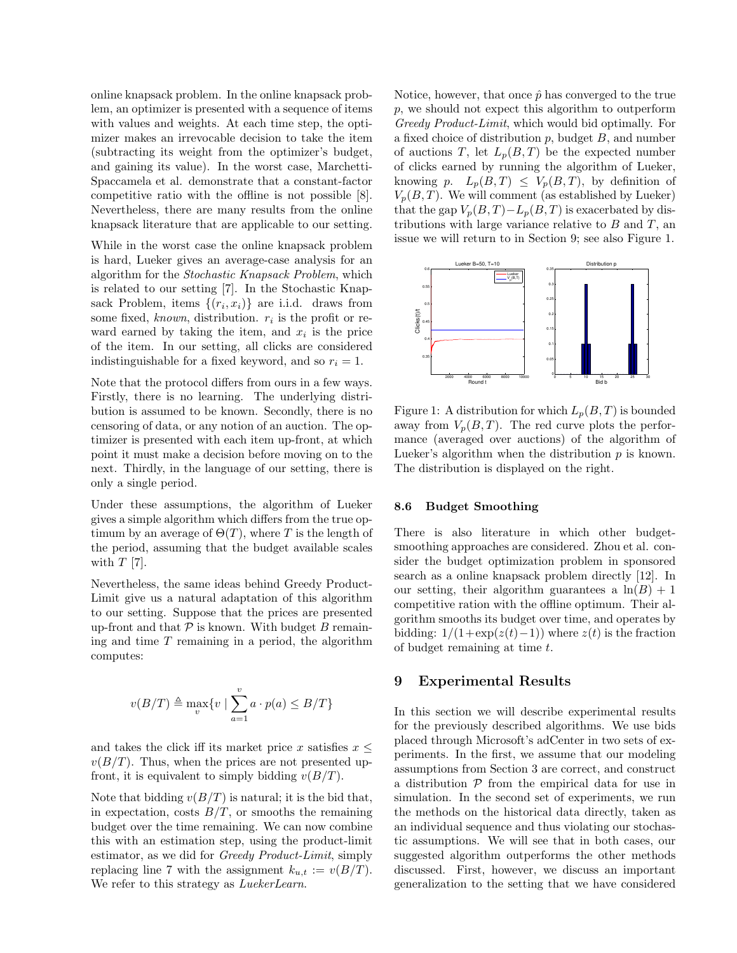online knapsack problem. In the online knapsack problem, an optimizer is presented with a sequence of items with values and weights. At each time step, the optimizer makes an irrevocable decision to take the item (subtracting its weight from the optimizer's budget, and gaining its value). In the worst case, Marchetti-Spaccamela et al. demonstrate that a constant-factor competitive ratio with the offline is not possible [8]. Nevertheless, there are many results from the online knapsack literature that are applicable to our setting.

While in the worst case the online knapsack problem is hard, Lueker gives an average-case analysis for an algorithm for the Stochastic Knapsack Problem, which is related to our setting [7]. In the Stochastic Knapsack Problem, items  $\{(r_i, x_i)\}\$ are i.i.d. draws from some fixed, known, distribution.  $r_i$  is the profit or reward earned by taking the item, and  $x_i$  is the price of the item. In our setting, all clicks are considered indistinguishable for a fixed keyword, and so  $r_i = 1$ .

Note that the protocol differs from ours in a few ways. Firstly, there is no learning. The underlying distribution is assumed to be known. Secondly, there is no censoring of data, or any notion of an auction. The optimizer is presented with each item up-front, at which point it must make a decision before moving on to the next. Thirdly, in the language of our setting, there is only a single period.

Under these assumptions, the algorithm of Lueker gives a simple algorithm which differs from the true optimum by an average of  $\Theta(T)$ , where T is the length of the period, assuming that the budget available scales with  $T$  [7].

Nevertheless, the same ideas behind Greedy Product-Limit give us a natural adaptation of this algorithm to our setting. Suppose that the prices are presented up-front and that  $P$  is known. With budget  $B$  remaining and time  $T$  remaining in a period, the algorithm computes:

$$
v(B/T) \triangleq \max_{v} \{v \mid \sum_{a=1}^{v} a \cdot p(a) \le B/T\}
$$

and takes the click iff its market price x satisfies  $x \leq$  $v(B/T)$ . Thus, when the prices are not presented upfront, it is equivalent to simply bidding  $v(B/T)$ .

Note that bidding  $v(B/T)$  is natural; it is the bid that, in expectation, costs  $B/T$ , or smooths the remaining budget over the time remaining. We can now combine this with an estimation step, using the product-limit estimator, as we did for Greedy Product-Limit, simply replacing line 7 with the assignment  $k_{u,t} := v(B/T)$ . We refer to this strategy as *LuekerLearn*.

Notice, however, that once  $\hat{p}$  has converged to the true p, we should not expect this algorithm to outperform Greedy Product-Limit, which would bid optimally. For a fixed choice of distribution  $p$ , budget  $B$ , and number of auctions T, let  $L_p(B,T)$  be the expected number of clicks earned by running the algorithm of Lueker, knowing p.  $L_p(B,T) \leq V_p(B,T)$ , by definition of  $V_p(B,T)$ . We will comment (as established by Lueker) that the gap  $V_p(B,T)-L_p(B,T)$  is exacerbated by distributions with large variance relative to  $B$  and  $T$ , an issue we will return to in Section 9; see also Figure 1.



Figure 1: A distribution for which  $L_p(B, T)$  is bounded away from  $V_p(B,T)$ . The red curve plots the performance (averaged over auctions) of the algorithm of Lueker's algorithm when the distribution  $p$  is known. The distribution is displayed on the right.

#### 8.6 Budget Smoothing

There is also literature in which other budgetsmoothing approaches are considered. Zhou et al. consider the budget optimization problem in sponsored search as a online knapsack problem directly [12]. In our setting, their algorithm guarantees a  $ln(B) + 1$ competitive ration with the offline optimum. Their algorithm smooths its budget over time, and operates by bidding:  $1/(1+\exp(z(t)-1))$  where  $z(t)$  is the fraction of budget remaining at time t.

# 9 Experimental Results

In this section we will describe experimental results for the previously described algorithms. We use bids placed through Microsoft's adCenter in two sets of experiments. In the first, we assume that our modeling assumptions from Section 3 are correct, and construct a distribution  $P$  from the empirical data for use in simulation. In the second set of experiments, we run the methods on the historical data directly, taken as an individual sequence and thus violating our stochastic assumptions. We will see that in both cases, our suggested algorithm outperforms the other methods discussed. First, however, we discuss an important generalization to the setting that we have considered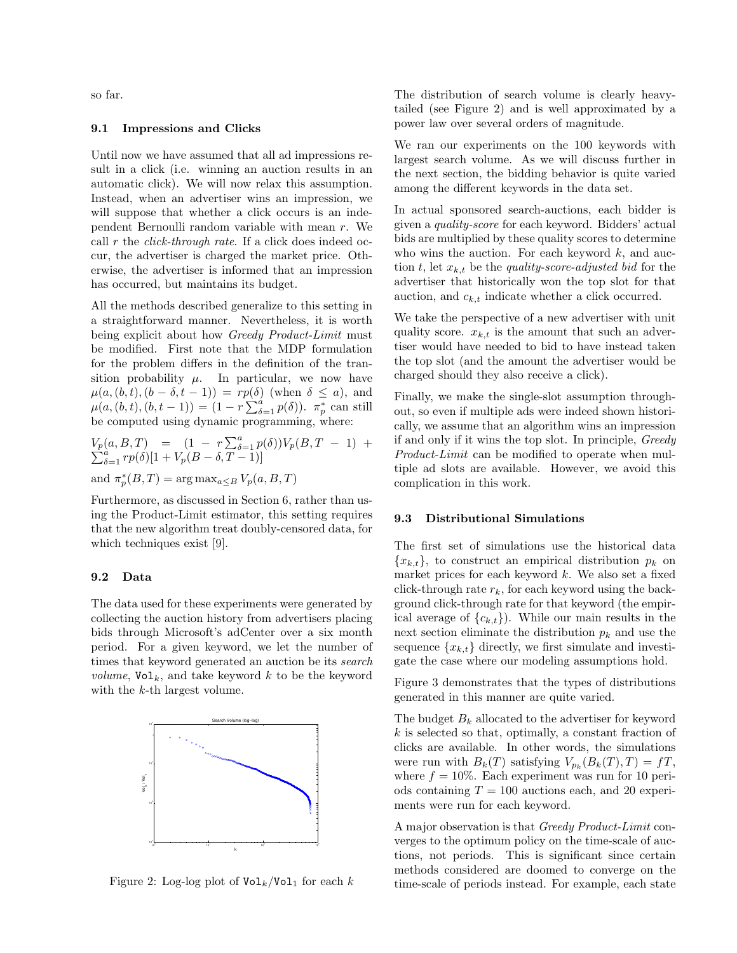so far.

#### 9.1 Impressions and Clicks

Until now we have assumed that all ad impressions result in a click (i.e. winning an auction results in an automatic click). We will now relax this assumption. Instead, when an advertiser wins an impression, we will suppose that whether a click occurs is an independent Bernoulli random variable with mean r. We call  $r$  the *click-through rate*. If a click does indeed occur, the advertiser is charged the market price. Otherwise, the advertiser is informed that an impression has occurred, but maintains its budget.

All the methods described generalize to this setting in a straightforward manner. Nevertheless, it is worth being explicit about how *Greedy Product-Limit* must be modified. First note that the MDP formulation for the problem differs in the definition of the transition probability  $\mu$ . In particular, we now have  $\mu(a,(b,t),(b-\delta,t-1)) = rp(\delta)$  (when  $\delta \leq a$ ), and  $\mu(a, (b, t), (b, t - 1)) = (1 - r \sum_{\delta=1}^{a} p(\delta)). \pi_p^*$  can still be computed using dynamic programming, where:

$$
V_p(a, B, T) = (1 - r \sum_{\delta=1}^a p(\delta)) V_p(B, T - 1) + \sum_{\delta=1}^a r p(\delta) [1 + V_p(B - \delta, T - 1)]
$$

and  $\pi_p^*(B,T) = \arg \max_{a \leq B} V_p(a, B, T)$ 

Furthermore, as discussed in Section 6, rather than using the Product-Limit estimator, this setting requires that the new algorithm treat doubly-censored data, for which techniques exist [9].

#### 9.2 Data

The data used for these experiments were generated by collecting the auction history from advertisers placing bids through Microsoft's adCenter over a six month period. For a given keyword, we let the number of times that keyword generated an auction be its search volume,  $\text{Vol}_k$ , and take keyword k to be the keyword with the k-th largest volume.



Figure 2: Log-log plot of  $Vol_k/Vol_1$  for each k

The distribution of search volume is clearly heavytailed (see Figure 2) and is well approximated by a power law over several orders of magnitude.

We ran our experiments on the 100 keywords with largest search volume. As we will discuss further in the next section, the bidding behavior is quite varied among the different keywords in the data set.

In actual sponsored search-auctions, each bidder is given a quality-score for each keyword. Bidders' actual bids are multiplied by these quality scores to determine who wins the auction. For each keyword  $k$ , and auction t, let  $x_{k,t}$  be the quality-score-adjusted bid for the advertiser that historically won the top slot for that auction, and  $c_{k,t}$  indicate whether a click occurred.

We take the perspective of a new advertiser with unit quality score.  $x_{k,t}$  is the amount that such an advertiser would have needed to bid to have instead taken the top slot (and the amount the advertiser would be charged should they also receive a click).

Finally, we make the single-slot assumption throughout, so even if multiple ads were indeed shown historically, we assume that an algorithm wins an impression if and only if it wins the top slot. In principle, Greedy Product-Limit can be modified to operate when multiple ad slots are available. However, we avoid this complication in this work.

#### 9.3 Distributional Simulations

The first set of simulations use the historical data  ${x_{k,t}}$ , to construct an empirical distribution  $p_k$  on market prices for each keyword  $k$ . We also set a fixed click-through rate  $r_k$ , for each keyword using the background click-through rate for that keyword (the empirical average of  ${c_{k,t}}$ . While our main results in the next section eliminate the distribution  $p_k$  and use the sequence  $\{x_{k,t}\}\$  directly, we first simulate and investigate the case where our modeling assumptions hold.

Figure 3 demonstrates that the types of distributions generated in this manner are quite varied.

The budget  $B_k$  allocated to the advertiser for keyword  $k$  is selected so that, optimally, a constant fraction of clicks are available. In other words, the simulations were run with  $B_k(T)$  satisfying  $V_{p_k}(B_k(T), T) = fT$ , where  $f = 10\%$ . Each experiment was run for 10 periods containing  $T = 100$  auctions each, and 20 experiments were run for each keyword.

A major observation is that Greedy Product-Limit converges to the optimum policy on the time-scale of auctions, not periods. This is significant since certain methods considered are doomed to converge on the time-scale of periods instead. For example, each state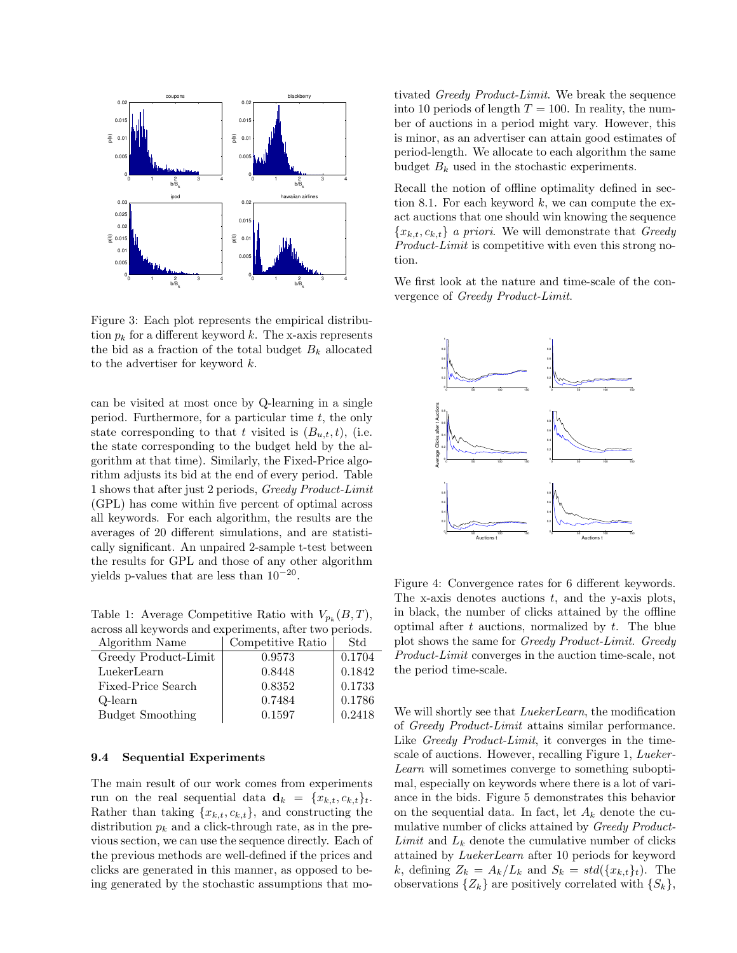

Figure 3: Each plot represents the empirical distribution  $p_k$  for a different keyword k. The x-axis represents the bid as a fraction of the total budget  $B_k$  allocated to the advertiser for keyword  $k$ .

can be visited at most once by Q-learning in a single period. Furthermore, for a particular time  $t$ , the only state corresponding to that t visited is  $(B_{u,t}, t)$ , (i.e. the state corresponding to the budget held by the algorithm at that time). Similarly, the Fixed-Price algorithm adjusts its bid at the end of every period. Table 1 shows that after just 2 periods, Greedy Product-Limit (GPL) has come within five percent of optimal across all keywords. For each algorithm, the results are the averages of 20 different simulations, and are statistically significant. An unpaired 2-sample t-test between the results for GPL and those of any other algorithm yields p-values that are less than  $10^{-20}$ .

Table 1: Average Competitive Ratio with  $V_{p_k}(B,T)$ , across all keywords and experiments, after two periods.

| Algorithm Name          | Competitive Ratio | Std    |
|-------------------------|-------------------|--------|
| Greedy Product-Limit    | 0.9573            | 0.1704 |
| LuekerLearn             | 0.8448            | 0.1842 |
| Fixed-Price Search      | 0.8352            | 0.1733 |
| Q-learn                 | 0.7484            | 0.1786 |
| <b>Budget Smoothing</b> | 0.1597            | 0.2418 |

### 9.4 Sequential Experiments

The main result of our work comes from experiments run on the real sequential data  $\mathbf{d}_k = \{x_{k,t}, c_{k,t}\}_t$ . Rather than taking  ${x_{k,t}, c_{k,t}}$ , and constructing the distribution  $p_k$  and a click-through rate, as in the previous section, we can use the sequence directly. Each of the previous methods are well-defined if the prices and clicks are generated in this manner, as opposed to being generated by the stochastic assumptions that mo-

tivated Greedy Product-Limit. We break the sequence into 10 periods of length  $T = 100$ . In reality, the number of auctions in a period might vary. However, this is minor, as an advertiser can attain good estimates of period-length. We allocate to each algorithm the same budget  $B_k$  used in the stochastic experiments.

Recall the notion of offline optimality defined in section 8.1. For each keyword  $k$ , we can compute the exact auctions that one should win knowing the sequence  ${x_{k,t}, c_{k,t}}$  a priori. We will demonstrate that Greedy Product-Limit is competitive with even this strong notion.

We first look at the nature and time-scale of the convergence of Greedy Product-Limit.



Figure 4: Convergence rates for 6 different keywords. The x-axis denotes auctions  $t$ , and the y-axis plots, in black, the number of clicks attained by the offline optimal after  $t$  auctions, normalized by  $t$ . The blue plot shows the same for Greedy Product-Limit. Greedy Product-Limit converges in the auction time-scale, not the period time-scale.

We will shortly see that *LuekerLearn*, the modification of Greedy Product-Limit attains similar performance. Like Greedy Product-Limit, it converges in the timescale of auctions. However, recalling Figure 1, Lueker-Learn will sometimes converge to something suboptimal, especially on keywords where there is a lot of variance in the bids. Figure 5 demonstrates this behavior on the sequential data. In fact, let  $A_k$  denote the cumulative number of clicks attained by Greedy Product-Limit and  $L_k$  denote the cumulative number of clicks attained by LuekerLearn after 10 periods for keyword k, defining  $Z_k = A_k/L_k$  and  $S_k = std(\lbrace x_{k,t} \rbrace_t)$ . The observations  $\{Z_k\}$  are positively correlated with  $\{S_k\}$ ,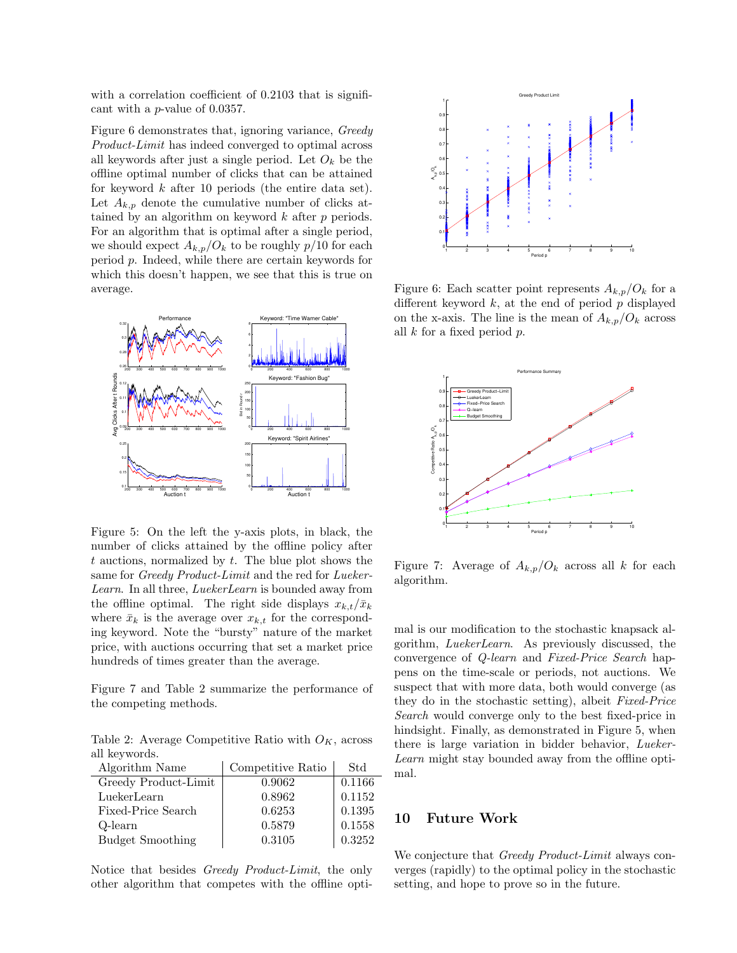with a correlation coefficient of 0.2103 that is significant with a p-value of 0.0357.

Figure 6 demonstrates that, ignoring variance, Greedy Product-Limit has indeed converged to optimal across all keywords after just a single period. Let  $O_k$  be the offline optimal number of clicks that can be attained for keyword  $k$  after 10 periods (the entire data set). Let  $A_{k,p}$  denote the cumulative number of clicks attained by an algorithm on keyword  $k$  after  $p$  periods. For an algorithm that is optimal after a single period, we should expect  $A_{k,p}/O_k$  to be roughly  $p/10$  for each period p. Indeed, while there are certain keywords for which this doesn't happen, we see that this is true on average.



Figure 5: On the left the y-axis plots, in black, the number of clicks attained by the offline policy after  $t$  auctions, normalized by  $t$ . The blue plot shows the same for Greedy Product-Limit and the red for Lueker-Learn. In all three, LuekerLearn is bounded away from the offline optimal. The right side displays  $x_{k,t}/\bar{x}_k$ where  $\bar{x}_k$  is the average over  $x_{k,t}$  for the corresponding keyword. Note the "bursty" nature of the market price, with auctions occurring that set a market price hundreds of times greater than the average.

Figure 7 and Table 2 summarize the performance of the competing methods.

Table 2: Average Competitive Ratio with  $O_K$ , across all keywords.

| Algorithm Name          | Competitive Ratio | Std    |
|-------------------------|-------------------|--------|
| Greedy Product-Limit    | 0.9062            | 0.1166 |
| LuekerLearn             | 0.8962            | 0.1152 |
| Fixed-Price Search      | 0.6253            | 0.1395 |
| Q-learn                 | 0.5879            | 0.1558 |
| <b>Budget Smoothing</b> | 0.3105            | 0.3252 |

Notice that besides Greedy Product-Limit, the only other algorithm that competes with the offline opti-



Figure 6: Each scatter point represents  $A_{k,p}/O_k$  for a different keyword  $k$ , at the end of period  $p$  displayed on the x-axis. The line is the mean of  $A_{k,p}/O_k$  across all  $k$  for a fixed period  $p$ .



Figure 7: Average of  $A_{k,p}/O_k$  across all k for each algorithm.

mal is our modification to the stochastic knapsack algorithm, LuekerLearn. As previously discussed, the convergence of Q-learn and Fixed-Price Search happens on the time-scale or periods, not auctions. We suspect that with more data, both would converge (as they do in the stochastic setting), albeit Fixed-Price Search would converge only to the best fixed-price in hindsight. Finally, as demonstrated in Figure 5, when there is large variation in bidder behavior, Lueker-Learn might stay bounded away from the offline optimal.

### 10 Future Work

We conjecture that *Greedy Product-Limit* always converges (rapidly) to the optimal policy in the stochastic setting, and hope to prove so in the future.